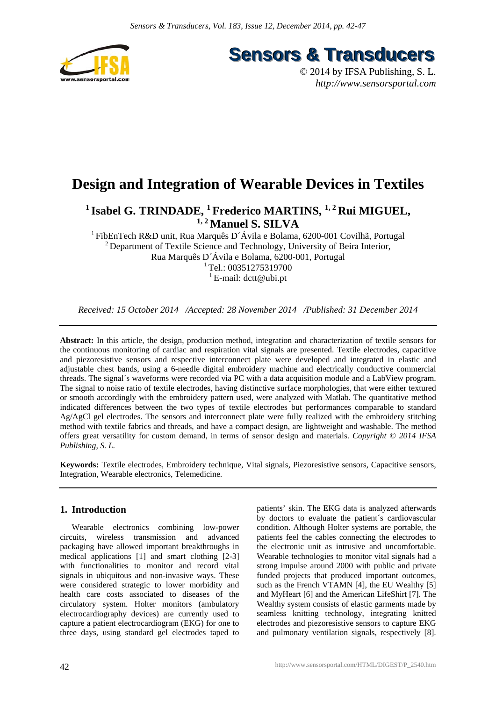

**Sensors & Transducers** 

© 2014 by IFSA Publishing, S. L. *http://www.sensorsportal.com*

# **Design and Integration of Wearable Devices in Textiles**

<sup>1</sup> Isabel G. TRINDADE, <sup>1</sup> Frederico MARTINS, <sup>1, 2</sup> Rui MIGUEL, **1, 2 Manuel S. SILVA** 

<sup>1</sup> FibEnTech R&D unit, Rua Marquês D´Ávila e Bolama, 6200-001 Covilhã, Portugal <sup>2</sup> Department of Textile Science and Technology, University of Beira Interior, Rua Marquês D´Ávila e Bolama, 6200-001, Portugal  $1$ Tel.: 00351275319700 <sup>1</sup> E-mail:  $det(\mathcal{Q}_1)$ 

*Received: 15 October 2014 /Accepted: 28 November 2014 /Published: 31 December 2014*

**Abstract:** In this article, the design, production method, integration and characterization of textile sensors for the continuous monitoring of cardiac and respiration vital signals are presented. Textile electrodes, capacitive and piezoresistive sensors and respective interconnect plate were developed and integrated in elastic and adjustable chest bands, using a 6-needle digital embroidery machine and electrically conductive commercial threads. The signal´s waveforms were recorded via PC with a data acquisition module and a LabView program. The signal to noise ratio of textile electrodes, having distinctive surface morphologies, that were either textured or smooth accordingly with the embroidery pattern used, were analyzed with Matlab. The quantitative method indicated differences between the two types of textile electrodes but performances comparable to standard Ag/AgCl gel electrodes. The sensors and interconnect plate were fully realized with the embroidery stitching method with textile fabrics and threads, and have a compact design, are lightweight and washable. The method offers great versatility for custom demand, in terms of sensor design and materials. *Copyright © 2014 IFSA Publishing, S. L.*

**Keywords:** Textile electrodes, Embroidery technique, Vital signals, Piezoresistive sensors, Capacitive sensors, Integration, Wearable electronics, Telemedicine.

# **1. Introduction**

Wearable electronics combining low-power circuits, wireless transmission and advanced packaging have allowed important breakthroughs in medical applications [1] and smart clothing [2-3] with functionalities to monitor and record vital signals in ubiquitous and non-invasive ways. These were considered strategic to lower morbidity and health care costs associated to diseases of the circulatory system. Holter monitors (ambulatory electrocardiography devices) are currently used to capture a patient electrocardiogram (EKG) for one to three days, using standard gel electrodes taped to patients' skin. The EKG data is analyzed afterwards by doctors to evaluate the patient´s cardiovascular condition. Although Holter systems are portable, the patients feel the cables connecting the electrodes to the electronic unit as intrusive and uncomfortable. Wearable technologies to monitor vital signals had a strong impulse around 2000 with public and private funded projects that produced important outcomes, such as the French VTAMN [4], the EU Wealthy [5] and MyHeart [6] and the American LifeShirt [7]. The Wealthy system consists of elastic garments made by seamless knitting technology, integrating knitted electrodes and piezoresistive sensors to capture EKG and pulmonary ventilation signals, respectively [8].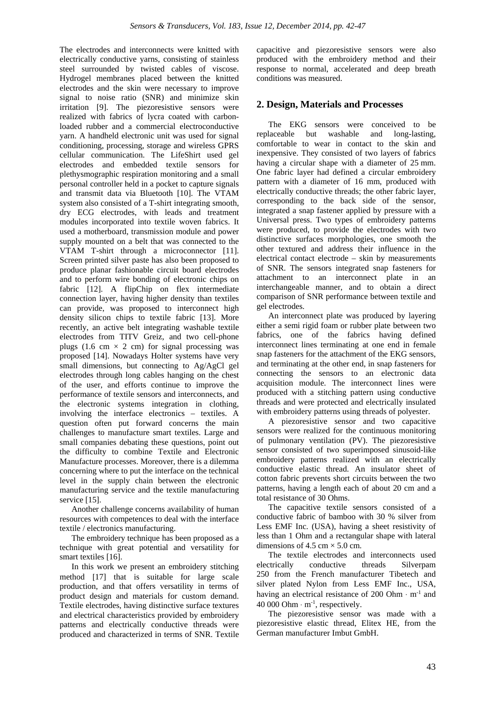The electrodes and interconnects were knitted with electrically conductive yarns, consisting of stainless steel surrounded by twisted cables of viscose. Hydrogel membranes placed between the knitted electrodes and the skin were necessary to improve signal to noise ratio (SNR) and minimize skin irritation [9]. The piezoresistive sensors were realized with fabrics of lycra coated with carbonloaded rubber and a commercial electroconductive yarn. A handheld electronic unit was used for signal conditioning, processing, storage and wireless GPRS cellular communication. The LifeShirt used gel electrodes and embedded textile sensors for plethysmographic respiration monitoring and a small personal controller held in a pocket to capture signals and transmit data via Bluetooth [10]. The VTAM system also consisted of a T-shirt integrating smooth, dry ECG electrodes, with leads and treatment modules incorporated into textile woven fabrics. It used a motherboard, transmission module and power supply mounted on a belt that was connected to the VTAM T-shirt through a microconnector [11]. Screen printed silver paste has also been proposed to produce planar fashionable circuit board electrodes and to perform wire bonding of electronic chips on fabric [12]. A flipChip on flex intermediate connection layer, having higher density than textiles can provide, was proposed to interconnect high density silicon chips to textile fabric [13]. More recently, an active belt integrating washable textile electrodes from TITV Greiz, and two cell-phone plugs (1.6 cm  $\times$  2 cm) for signal processing was proposed [14]. Nowadays Holter systems have very small dimensions, but connecting to Ag/AgCl gel electrodes through long cables hanging on the chest of the user, and efforts continue to improve the performance of textile sensors and interconnects, and the electronic systems integration in clothing, involving the interface electronics – textiles. A question often put forward concerns the main challenges to manufacture smart textiles. Large and small companies debating these questions, point out the difficulty to combine Textile and Electronic Manufacture processes. Moreover, there is a dilemma concerning where to put the interface on the technical level in the supply chain between the electronic manufacturing service and the textile manufacturing service [15].

Another challenge concerns availability of human resources with competences to deal with the interface textile / electronics manufacturing.

The embroidery technique has been proposed as a technique with great potential and versatility for smart textiles [16].

In this work we present an embroidery stitching method [17] that is suitable for large scale production, and that offers versatility in terms of product design and materials for custom demand. Textile electrodes, having distinctive surface textures and electrical characteristics provided by embroidery patterns and electrically conductive threads were produced and characterized in terms of SNR. Textile capacitive and piezoresistive sensors were also produced with the embroidery method and their response to normal, accelerated and deep breath conditions was measured.

## **2. Design, Materials and Processes**

The EKG sensors were conceived to be replaceable but washable and long-lasting, comfortable to wear in contact to the skin and inexpensive. They consisted of two layers of fabrics having a circular shape with a diameter of 25 mm. One fabric layer had defined a circular embroidery pattern with a diameter of 16 mm, produced with electrically conductive threads; the other fabric layer, corresponding to the back side of the sensor, integrated a snap fastener applied by pressure with a Universal press. Two types of embroidery patterns were produced, to provide the electrodes with two distinctive surfaces morphologies, one smooth the other textured and address their influence in the electrical contact electrode – skin by measurements of SNR. The sensors integrated snap fasteners for attachment to an interconnect plate in an interchangeable manner, and to obtain a direct comparison of SNR performance between textile and gel electrodes.

An interconnect plate was produced by layering either a semi rigid foam or rubber plate between two fabrics, one of the fabrics having defined interconnect lines terminating at one end in female snap fasteners for the attachment of the EKG sensors, and terminating at the other end, in snap fasteners for connecting the sensors to an electronic data acquisition module. The interconnect lines were produced with a stitching pattern using conductive threads and were protected and electrically insulated with embroidery patterns using threads of polyester.

A piezoresistive sensor and two capacitive sensors were realized for the continuous monitoring of pulmonary ventilation (PV). The piezoresistive sensor consisted of two superimposed sinusoid-like embroidery patterns realized with an electrically conductive elastic thread. An insulator sheet of cotton fabric prevents short circuits between the two patterns, having a length each of about 20 cm and a total resistance of 30 Ohms.

The capacitive textile sensors consisted of a conductive fabric of bamboo with 30 % silver from Less EMF Inc. (USA), having a sheet resistivity of less than 1 Ohm and a rectangular shape with lateral dimensions of 4.5 cm  $\times$  5.0 cm.

The textile electrodes and interconnects used electrically conductive threads Silverpam 250 from the French manufacturer Tibetech and silver plated Nylon from Less EMF Inc., USA, having an electrical resistance of 200 Ohm ⋅ m-1 and 40 000 Ohm  $\cdot$  m<sup>-1</sup>, respectively.

The piezoresistive sensor was made with a piezoresistive elastic thread, Elitex HE, from the German manufacturer Imbut GmbH.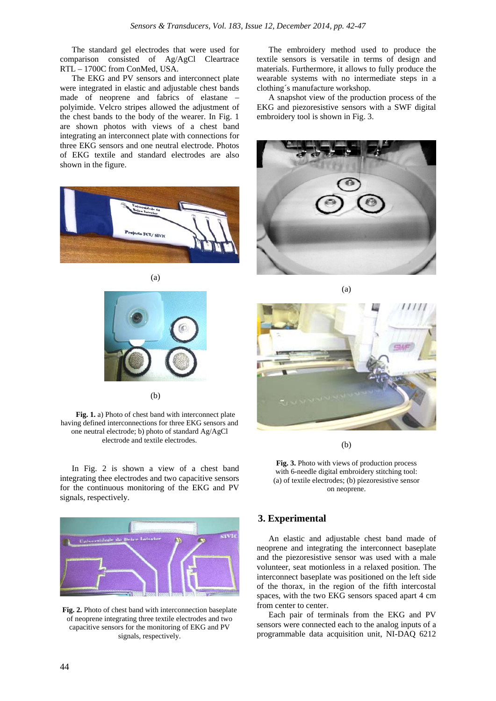The standard gel electrodes that were used for comparison consisted of Ag/AgCl Cleartrace RTL – 1700C from ConMed, USA.

The EKG and PV sensors and interconnect plate were integrated in elastic and adjustable chest bands made of neoprene and fabrics of elastane – polyimide. Velcro stripes allowed the adjustment of the chest bands to the body of the wearer. In Fig. 1 are shown photos with views of a chest band integrating an interconnect plate with connections for three EKG sensors and one neutral electrode. Photos of EKG textile and standard electrodes are also shown in the figure.





(a)

(b)

**Fig. 1.** a) Photo of chest band with interconnect plate having defined interconnections for three EKG sensors and one neutral electrode; b) photo of standard Ag/AgCl electrode and textile electrodes.

In Fig. 2 is shown a view of a chest band integrating thee electrodes and two capacitive sensors for the continuous monitoring of the EKG and PV signals, respectively.



**Fig. 2.** Photo of chest band with interconnection baseplate of neoprene integrating three textile electrodes and two capacitive sensors for the monitoring of EKG and PV signals, respectively.

The embroidery method used to produce the textile sensors is versatile in terms of design and materials. Furthermore, it allows to fully produce the wearable systems with no intermediate steps in a clothing´s manufacture workshop.

A snapshot view of the production process of the EKG and piezoresistive sensors with a SWF digital embroidery tool is shown in Fig. 3.



(a)



(b)



# **3. Experimental**

An elastic and adjustable chest band made of neoprene and integrating the interconnect baseplate and the piezoresistive sensor was used with a male volunteer, seat motionless in a relaxed position. The interconnect baseplate was positioned on the left side of the thorax, in the region of the fifth intercostal spaces, with the two EKG sensors spaced apart 4 cm from center to center.

Each pair of terminals from the EKG and PV sensors were connected each to the analog inputs of a programmable data acquisition unit, NI-DAQ 6212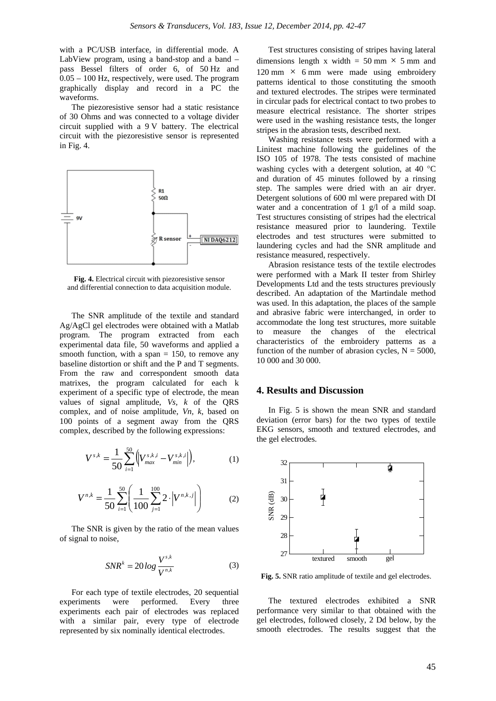with a PC/USB interface, in differential mode. A LabView program, using a band-stop and a band – pass Bessel filters of order 6, of 50 Hz and 0.05 – 100 Hz, respectively, were used. The program graphically display and record in a PC the waveforms.

The piezoresistive sensor had a static resistance of 30 Ohms and was connected to a voltage divider circuit supplied with a 9 V battery. The electrical circuit with the piezoresistive sensor is represented in Fig. 4.



**Fig. 4.** Electrical circuit with piezoresistive sensor and differential connection to data acquisition module.

The SNR amplitude of the textile and standard Ag/AgCl gel electrodes were obtained with a Matlab program. The program extracted from each experimental data file, 50 waveforms and applied a smooth function, with a span  $= 150$ , to remove any baseline distortion or shift and the P and T segments. From the raw and correspondent smooth data matrixes, the program calculated for each k experiment of a specific type of electrode, the mean values of signal amplitude, *Vs, k* of the QRS complex, and of noise amplitude, *Vn, k*, based on 100 points of a segment away from the QRS complex, described by the following expressions:

$$
V^{s,k} = \frac{1}{50} \sum_{i=1}^{50} \left( V_{max}^{s,k,i} - V_{min}^{s,k,i} \right),
$$
 (1)

$$
V^{n,k} = \frac{1}{50} \sum_{i=1}^{50} \left( \frac{1}{100} \sum_{j=1}^{100} 2 \cdot \left| V^{n,k,j} \right| \right) \tag{2}
$$

The SNR is given by the ratio of the mean values of signal to noise,

$$
SNR^k = 20\log\frac{V^{s,k}}{V^{n,k}}
$$
 (3)

For each type of textile electrodes, 20 sequential experiments were performed. Every three experiments each pair of electrodes was replaced with a similar pair, every type of electrode represented by six nominally identical electrodes.

Test structures consisting of stripes having lateral dimensions length x width =  $50 \text{ mm} \times 5 \text{ mm}$  and  $120 \text{ mm} \times 6 \text{ mm}$  were made using embroidery patterns identical to those constituting the smooth and textured electrodes. The stripes were terminated in circular pads for electrical contact to two probes to measure electrical resistance. The shorter stripes were used in the washing resistance tests, the longer stripes in the abrasion tests, described next.

Washing resistance tests were performed with a Linitest machine following the guidelines of the ISO 105 of 1978. The tests consisted of machine washing cycles with a detergent solution, at 40 °C and duration of 45 minutes followed by a rinsing step. The samples were dried with an air dryer. Detergent solutions of 600 ml were prepared with DI water and a concentration of 1 g/l of a mild soap. Test structures consisting of stripes had the electrical resistance measured prior to laundering. Textile electrodes and test structures were submitted to laundering cycles and had the SNR amplitude and resistance measured, respectively.

Abrasion resistance tests of the textile electrodes were performed with a Mark II tester from Shirley Developments Ltd and the tests structures previously described. An adaptation of the Martindale method was used. In this adaptation, the places of the sample and abrasive fabric were interchanged, in order to accommodate the long test structures, more suitable to measure the changes of the electrical characteristics of the embroidery patterns as a function of the number of abrasion cycles,  $N = 5000$ , 10 000 and 30 000.

#### **4. Results and Discussion**

In Fig. 5 is shown the mean SNR and standard deviation (error bars) for the two types of textile EKG sensors, smooth and textured electrodes, and the gel electrodes.



**Fig. 5.** SNR ratio amplitude of textile and gel electrodes.

The textured electrodes exhibited a SNR performance very similar to that obtained with the gel electrodes, followed closely, 2 Dd below, by the smooth electrodes. The results suggest that the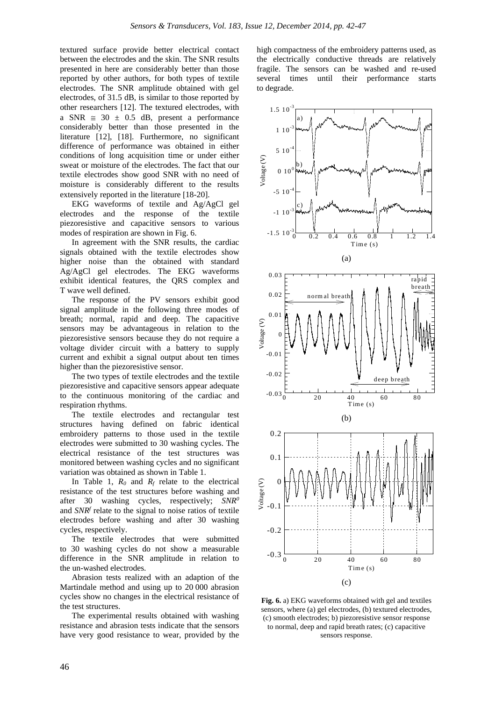textured surface provide better electrical contact between the electrodes and the skin. The SNR results presented in here are considerably better than those reported by other authors, for both types of textile electrodes. The SNR amplitude obtained with gel electrodes, of 31.5 dB, is similar to those reported by other researchers [12]. The textured electrodes, with a SNR  $\approx$  30  $\pm$  0.5 dB, present a performance considerably better than those presented in the literature [12], [18]. Furthermore, no significant difference of performance was obtained in either conditions of long acquisition time or under either sweat or moisture of the electrodes. The fact that our textile electrodes show good SNR with no need of moisture is considerably different to the results extensively reported in the literature [18-20].

EKG waveforms of textile and Ag/AgCl gel electrodes and the response of the textile piezoresistive and capacitive sensors to various modes of respiration are shown in Fig. 6.

In agreement with the SNR results, the cardiac signals obtained with the textile electrodes show higher noise than the obtained with standard Ag/AgCl gel electrodes. The EKG waveforms exhibit identical features, the QRS complex and T wave well defined.

The response of the PV sensors exhibit good signal amplitude in the following three modes of breath; normal, rapid and deep. The capacitive sensors may be advantageous in relation to the piezoresistive sensors because they do not require a voltage divider circuit with a battery to supply current and exhibit a signal output about ten times higher than the piezoresistive sensor.

The two types of textile electrodes and the textile piezoresistive and capacitive sensors appear adequate to the continuous monitoring of the cardiac and respiration rhythms.

The textile electrodes and rectangular test structures having defined on fabric identical embroidery patterns to those used in the textile electrodes were submitted to 30 washing cycles. The electrical resistance of the test structures was monitored between washing cycles and no significant variation was obtained as shown in Table 1.

In Table 1,  $R_0$  and  $R_f$  relate to the electrical resistance of the test structures before washing and after 30 washing cycles, respectively; *SNR0* and *SNRf* relate to the signal to noise ratios of textile electrodes before washing and after 30 washing cycles, respectively.

The textile electrodes that were submitted to 30 washing cycles do not show a measurable difference in the SNR amplitude in relation to the un-washed electrodes.

Abrasion tests realized with an adaption of the Martindale method and using up to 20 000 abrasion cycles show no changes in the electrical resistance of the test structures.

The experimental results obtained with washing resistance and abrasion tests indicate that the sensors have very good resistance to wear, provided by the high compactness of the embroidery patterns used, as the electrically conductive threads are relatively fragile. The sensors can be washed and re-used several times until their performance starts to degrade.



**Fig. 6.** a) EKG waveforms obtained with gel and textiles sensors, where (a) gel electrodes, (b) textured electrodes, (c) smooth electrodes; b) piezoresistive sensor response to normal, deep and rapid breath rates; (c) capacitive sensors response.